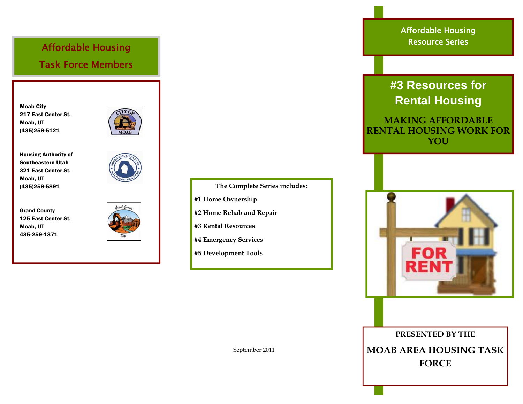Affordable Housing Task Force Members

Moab City 217 East Center St. Moab, UT (435)259-5121



Housing Authority of Southeastern Utah 321 East Center St. Moab, UT (435)259-5891

Grand County 125 East Center St. Moab, UT 435-259-1371



- **The Complete Series includes: #1 Home Ownership #2 Home Rehab and Repair**
- **#3 Rental Resources**
- **#4 Emergency Services**
- **#5 Development Tools**

Affordable Housing Resource Series

## **#3 Resources for Rental Housing**

**MAKING AFFORDABLE RENTAL HOUSING WORK FOR YOU** 



**PRESENTED BY THE MOAB AREA HOUSING TASK FORCE** 

September 2011